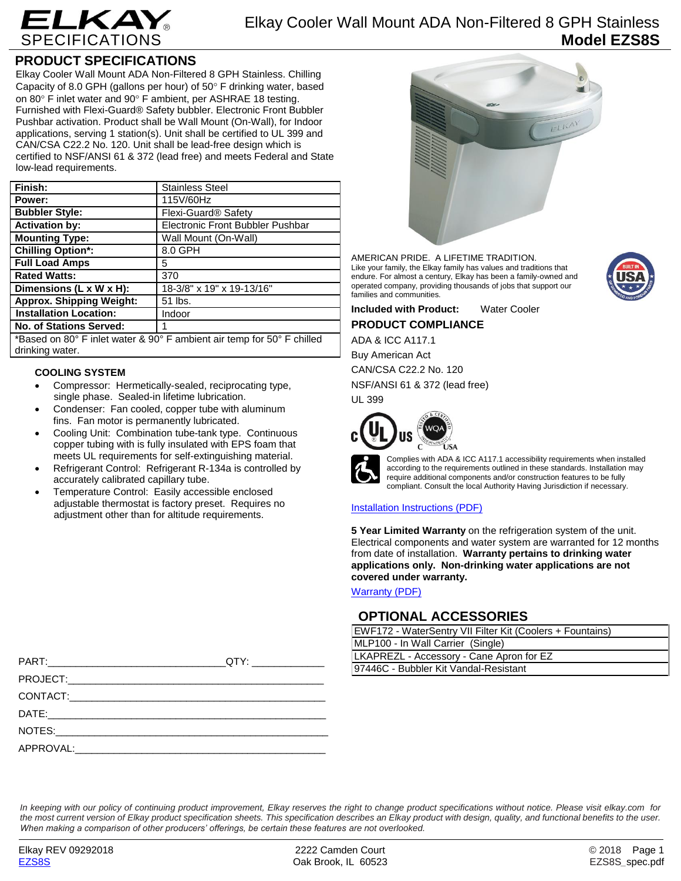

### **PRODUCT SPECIFICATIONS**

Elkay Cooler Wall Mount ADA Non-Filtered 8 GPH Stainless. Chilling Capacity of 8.0 GPH (gallons per hour) of  $50^\circ$  F drinking water, based on 80 $\degree$  F inlet water and 90 $\degree$  F ambient, per ASHRAE 18 testing. Furnished with Flexi-Guard® Safety bubbler. Electronic Front Bubbler Pushbar activation. Product shall be Wall Mount (On-Wall), for Indoor applications, serving 1 station(s). Unit shall be certified to UL 399 and CAN/CSA C22.2 No. 120. Unit shall be lead-free design which is certified to NSF/ANSI 61 & 372 (lead free) and meets Federal and State low-lead requirements.

| Finish:                                                                | <b>Stainless Steel</b>                  |  |
|------------------------------------------------------------------------|-----------------------------------------|--|
| Power:                                                                 | 115V/60Hz                               |  |
| <b>Bubbler Style:</b>                                                  | Flexi-Guard <sup>®</sup> Safety         |  |
| <b>Activation by:</b>                                                  | <b>Electronic Front Bubbler Pushbar</b> |  |
| <b>Mounting Type:</b>                                                  | Wall Mount (On-Wall)                    |  |
| <b>Chilling Option*:</b>                                               | 8.0 GPH                                 |  |
| <b>Full Load Amps</b>                                                  | 5                                       |  |
| <b>Rated Watts:</b>                                                    | 370                                     |  |
| Dimensions (L x W x H):                                                | 18-3/8" x 19" x 19-13/16"               |  |
| <b>Approx. Shipping Weight:</b>                                        | 51 lbs.                                 |  |
| <b>Installation Location:</b>                                          | Indoor                                  |  |
| <b>No. of Stations Served:</b>                                         | 1                                       |  |
| *Based on 80° F inlet water & 90° F ambient air temp for 50° F chilled |                                         |  |

\*Based on 80° F inlet water & 90° F ambient air temp for 50° F chilled drinking water.

### **COOLING SYSTEM**

- Compressor: Hermetically-sealed, reciprocating type, single phase. Sealed-in lifetime lubrication.
- Condenser: Fan cooled, copper tube with aluminum fins. Fan motor is permanently lubricated.
- Cooling Unit: Combination tube-tank type. Continuous copper tubing with is fully insulated with EPS foam that meets UL requirements for self-extinguishing material.
- Refrigerant Control: Refrigerant R-134a is controlled by accurately calibrated capillary tube.
- Temperature Control: Easily accessible enclosed adjustable thermostat is factory preset. Requires no adjustment other than for altitude requirements.



AMERICAN PRIDE. A LIFETIME TRADITION. Like your family, the Elkay family has values and traditions that endure. For almost a century, Elkay has been a family-owned and operated company, providing thousands of jobs that support our families and communities.



**Included with Product:** Water Cooler **PRODUCT COMPLIANCE**

ADA & ICC A117.1 Buy American Act CAN/CSA C22.2 No. 120 NSF/ANSI 61 & 372 (lead free) UL 399



Complies with ADA & ICC A117.1 accessibility requirements when installed according to the requirements outlined in these standards. Installation may require additional components and/or construction features to be fully compliant. Consult the local Authority Having Jurisdiction if necessary.

### [Installation Instructions \(PDF\)](http://www.elkay.com/wcsstore/lkdocs/care-cleaning-install-warranty-sheets/1000002685.pdf)

**5 Year Limited Warranty** on the refrigeration system of the unit. Electrical components and water system are warranted for 12 months from date of installation. **Warranty pertains to drinking water applications only. Non-drinking water applications are not covered under warranty.**

[Warranty](http://www.elkay.com/wcsstore/lkdocs/care-cleaning-install-warranty-sheets/96993c.pdf) (PDF)

### **OPTIONAL ACCESSORIES**

| EWF172 - WaterSentry VII Filter Kit (Coolers + Fountains) |  |  |
|-----------------------------------------------------------|--|--|
| MLP100 - In Wall Carrier (Single)                         |  |  |
| LKAPREZL - Accessory - Cane Apron for EZ                  |  |  |
| 97446C - Bubbler Kit Vandal-Resistant                     |  |  |

| <u> 1980 - Johann Barnett, fransk politiker (</u> | LNAPREZE - ACCESSONY - Carle Aproli   |
|---------------------------------------------------|---------------------------------------|
|                                                   | 97446C - Bubbler Kit Vandal-Resistant |
|                                                   |                                       |
|                                                   |                                       |
|                                                   |                                       |
|                                                   |                                       |
|                                                   |                                       |

*In keeping with our policy of continuing product improvement, Elkay reserves the right to change product specifications without notice. Please visit elkay.com for the most current version of Elkay product specification sheets. This specification describes an Elkay product with design, quality, and functional benefits to the user. When making a comparison of other producers' offerings, be certain these features are not overlooked.*